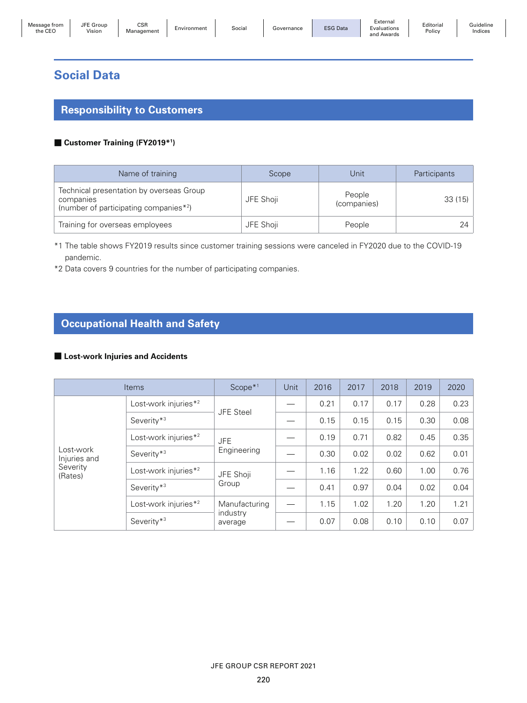| Message from<br>the CEC | JFE Group<br>Vision | <b>CSR</b><br>Manaαement | Environment | Social | Governance | <b>ESG Data</b> | ∠xternal<br>Evaluations<br>and<br>l Awards | Editorial<br>Policy | Guideline<br>Indices |
|-------------------------|---------------------|--------------------------|-------------|--------|------------|-----------------|--------------------------------------------|---------------------|----------------------|
|-------------------------|---------------------|--------------------------|-------------|--------|------------|-----------------|--------------------------------------------|---------------------|----------------------|

## **Social Data**

## **Responsibility to Customers**

### ■ **Customer Training (FY2019\*1 )**

| Name of training                                                                               | Scope     | Unit                  | Participants |
|------------------------------------------------------------------------------------------------|-----------|-----------------------|--------------|
| Technical presentation by overseas Group<br>companies<br>(number of participating companies*2) | JFE Shoji | People<br>(companies) | 33(15)       |
| Training for overseas employees                                                                | JFE Shoji | People                |              |

\*1 The table shows FY2019 results since customer training sessions were canceled in FY2020 due to the COVID-19 pandemic.

\*2 Data covers 9 countries for the number of participating companies.

# **Occupational Health and Safety**

#### ■ Lost-work Injuries and Accidents

| <b>Items</b>              |                                  | $Scope*1$           | Unit | 2016 | 2017 | 2018 | 2019 | 2020 |
|---------------------------|----------------------------------|---------------------|------|------|------|------|------|------|
|                           | Lost-work injuries* <sup>2</sup> | <b>JFE Steel</b>    |      | 0.21 | 0.17 | 0.17 | 0.28 | 0.23 |
|                           | Severity <sup>*3</sup>           |                     |      | 0.15 | 0.15 | 0.15 | 0.30 | 0.08 |
|                           | Lost-work injuries* <sup>2</sup> | <b>JFE</b>          |      | 0.19 | 0.71 | 0.82 | 0.45 | 0.35 |
| Lost-work<br>Injuries and | Severity*3                       | Engineering         |      | 0.30 | 0.02 | 0.02 | 0.62 | 0.01 |
| Severity<br>(Rates)       | Lost-work injuries* <sup>2</sup> | JFE Shoji           |      | 1.16 | 1.22 | 0.60 | 1.00 | 0.76 |
|                           | Severity*3                       | Group               |      | 0.41 | 0.97 | 0.04 | 0.02 | 0.04 |
|                           | Lost-work injuries* <sup>2</sup> | Manufacturing       |      | 1.15 | 1.02 | 1.20 | 1.20 | 1.21 |
|                           | Severity <sup>*3</sup>           | industry<br>average |      | 0.07 | 0.08 | 0.10 | 0.10 | 0.07 |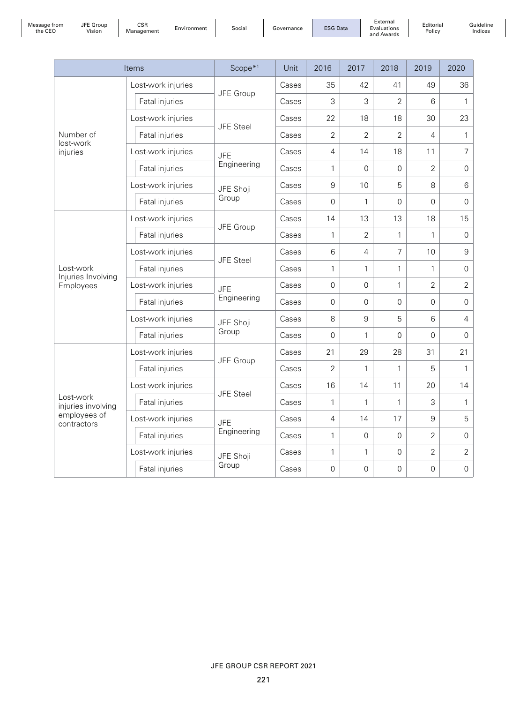| Message fron |  |
|--------------|--|
| $the$ $CEN$  |  |

 $\overline{\phantom{a}}$ 

Message from the CEO

JFE Group

EGroup | CSR<br>Vision | Management | Environment | Social | Governance | ESG Data

External Evaluations and Awards

Editorial Policy

Guideline Indices

|                                 | Items              | Scope <sup>*1</sup> | Unit  | 2016           | 2017                | 2018           | 2019           | 2020                |
|---------------------------------|--------------------|---------------------|-------|----------------|---------------------|----------------|----------------|---------------------|
|                                 | Lost-work injuries |                     | Cases | 35             | 42                  | 41             | 49             | 36                  |
|                                 | Fatal injuries     | JFE Group           | Cases | 3              | 3                   | $\overline{2}$ | 6              | $\mathbf{1}$        |
|                                 | Lost-work injuries | JFE Steel           | Cases | 22             | 18                  | 18             | 30             | 23                  |
| Number of<br>lost-work          | Fatal injuries     |                     | Cases | $\overline{2}$ | $\overline{2}$      | $\overline{2}$ | $\overline{4}$ | $\mathbf{1}$        |
| injuries                        | Lost-work injuries | <b>JFE</b>          | Cases | $\overline{4}$ | 14                  | 18             | 11             | 7                   |
|                                 | Fatal injuries     | Engineering         | Cases | 1              | $\Omega$            | $\Omega$       | $\overline{2}$ | $\mathbf 0$         |
|                                 | Lost-work injuries | JFE Shoji           | Cases | 9              | 10                  | 5              | 8              | $\,6$               |
|                                 | Fatal injuries     | Group               | Cases | 0              | $\mathbf{1}$        | 0              | 0              | $\mathsf{O}\xspace$ |
|                                 | Lost-work injuries |                     | Cases | 14             | 13                  | 13             | 18             | 15                  |
|                                 | Fatal injuries     | JFE Group           | Cases | 1              | $\overline{2}$      | 1              | $\mathbf{1}$   | $\mathbf 0$         |
|                                 | Lost-work injuries | <b>JFE Steel</b>    | Cases | 6              | 4                   | 7              | 10             | $\boldsymbol{9}$    |
| Lost-work<br>Injuries Involving | Fatal injuries     |                     | Cases | $\mathbf{1}$   | $\mathbf{1}$        | $\mathbf{1}$   | $\mathbf{1}$   | $\mathsf{O}\xspace$ |
| Employees                       | Lost-work injuries | <b>JFE</b>          | Cases | 0              | 0                   | 1              | $\overline{2}$ | $\overline{2}$      |
|                                 | Fatal injuries     | Engineering         | Cases | 0              | 0                   | $\Omega$       | 0              | $\mathsf{O}\xspace$ |
|                                 | Lost-work injuries | JFE Shoji           | Cases | 8              | 9                   | 5              | 6              | 4                   |
|                                 | Fatal injuries     | Group               | Cases | $\Omega$       | $\mathbf{1}$        | $\Omega$       | 0              | $\mathbf 0$         |
|                                 | Lost-work injuries | JFE Group           | Cases | 21             | 29                  | 28             | 31             | 21                  |
|                                 | Fatal injuries     |                     | Cases | $\overline{2}$ | 1                   | 1              | 5              | 1                   |
|                                 | Lost-work injuries | JFE Steel           | Cases | 16             | 14                  | 11             | 20             | 14                  |
| Lost-work<br>injuries involving | Fatal injuries     |                     | Cases | $\mathbf{1}$   | 1                   | 1              | 3              | 1                   |
| employees of<br>contractors     | Lost-work injuries | <b>JFE</b>          | Cases | $\overline{4}$ | 14                  | 17             | 9              | 5                   |
|                                 | Fatal injuries     | Engineering         | Cases | $\mathbf{1}$   | $\mathsf{O}\xspace$ | $\mathbf 0$    | $\overline{2}$ | 0                   |
|                                 | Lost-work injuries | JFE Shoji           | Cases | $\mathbf{1}$   | 1                   | $\mathbf 0$    | $\overline{2}$ | $\overline{2}$      |
|                                 | Fatal injuries     | Group               | Cases | $\mathbf 0$    | 0                   | 0              | 0              | $\mathsf{O}\xspace$ |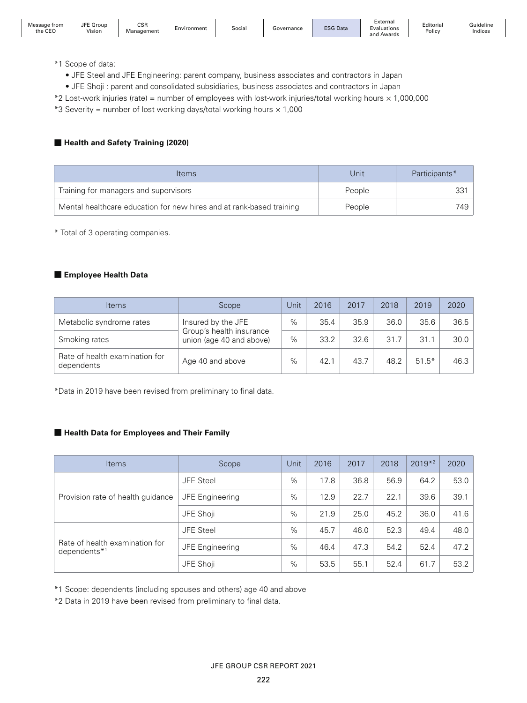Editorial Policy

\*1 Scope of data:

JFE Group

- JFE Steel and JFE Engineering: parent company, business associates and contractors in Japan
- JFE Shoji : parent and consolidated subsidiaries, business associates and contractors in Japan
- \*2 Lost-work injuries (rate) = number of employees with lost-work injuries/total working hours × 1,000,000
- \*3 Severity = number of lost working days/total working hours  $\times$  1,000

## ■ **Health and Safety Training (2020)**

| <b>Items</b>                                                         | Unit   | Participants* |
|----------------------------------------------------------------------|--------|---------------|
| Training for managers and supervisors                                | People |               |
| Mental healthcare education for new hires and at rank-based training | People | 749 -         |

\* Total of 3 operating companies.

### ■ **Employee Health Data**

| <b>Items</b>                                 | Scope                                          | Jnit | 2016 | 2017 | 2018 | 2019    | 2020 |
|----------------------------------------------|------------------------------------------------|------|------|------|------|---------|------|
| Metabolic syndrome rates                     | Insured by the JFE<br>Group's health insurance | %    | 35.4 | 35.9 | 36.0 | 35.6    | 36.5 |
| Smoking rates                                | union (age 40 and above)                       | $\%$ | 33.2 | 32.6 | 31.7 | 31.1    | 30.0 |
| Rate of health examination for<br>dependents | Age 40 and above                               | %    | 42.1 | 43.7 | 48.2 | $51.5*$ | 46.3 |

\*Data in 2019 have been revised from preliminary to final data.

## ■ **Health Data for Employees and Their Family**

| <b>Items</b>                                      | Scope                  | Unit | 2016 | 2017 | 2018 | $2019*2$ | 2020 |
|---------------------------------------------------|------------------------|------|------|------|------|----------|------|
|                                                   | <b>JFE Steel</b>       | $\%$ | 17.8 | 36.8 | 56.9 | 64.2     | 53.0 |
| Provision rate of health guidance                 | <b>JFE Engineering</b> | $\%$ | 12.9 | 22.7 | 22.1 | 39.6     | 39.1 |
|                                                   | JFE Shoji              | %    | 21.9 | 25.0 | 45.2 | 36.0     | 41.6 |
|                                                   | <b>JFE Steel</b>       | %    | 45.7 | 46.0 | 52.3 | 49.4     | 48.0 |
| Rate of health examination for<br>dependents $*1$ | JFE Engineering        | %    | 46.4 | 47.3 | 54.2 | 52.4     | 47.2 |
|                                                   | JFE Shoji              | %    | 53.5 | 55.1 | 52.4 | 61.7     | 53.2 |

\*1 Scope: dependents (including spouses and others) age 40 and above

\*2 Data in 2019 have been revised from preliminary to final data.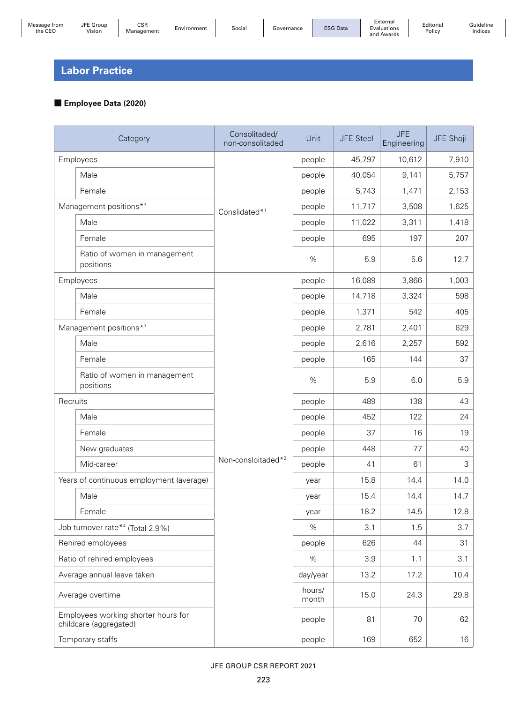Editorial Policy

## **Labor Practice**

## ■ **Employee Data (2020)**

|                  | Category                                                      | Consolitaded/<br>non-consolitaded | Unit            | <b>JFE Steel</b> | <b>JFE</b><br>Engineering | JFE Shoji |
|------------------|---------------------------------------------------------------|-----------------------------------|-----------------|------------------|---------------------------|-----------|
|                  | Employees                                                     |                                   | people          | 45,797           | 10,612                    | 7,910     |
|                  | Male                                                          |                                   | people          | 40,054           | 9,141                     | 5,757     |
|                  | Female                                                        |                                   | people          | 5,743            | 1,471                     | 2,153     |
|                  | Management positions*3                                        | Conslidated* <sup>1</sup>         | people          | 11,717           | 3,508                     | 1,625     |
|                  | Male                                                          |                                   | people          | 11,022           | 3,311                     | 1,418     |
|                  | Female                                                        |                                   | people          | 695              | 197                       | 207       |
|                  | Ratio of women in management<br>positions                     |                                   | %               | 5.9              | 5.6                       | 12.7      |
|                  | Employees                                                     |                                   | people          | 16,089           | 3,866                     | 1,003     |
|                  | Male                                                          |                                   | people          | 14,718           | 3,324                     | 598       |
|                  | Female                                                        |                                   | people          | 1,371            | 542                       | 405       |
|                  | Management positions*3                                        |                                   | people          | 2,781            | 2,401                     | 629       |
|                  | Male                                                          |                                   | people          | 2,616            | 2,257                     | 592       |
|                  | Female                                                        |                                   | people          | 165              | 144                       | 37        |
|                  | Ratio of women in management<br>positions                     |                                   | %               | 5.9              | 6.0                       | 5.9       |
| Recruits         |                                                               |                                   | people          | 489              | 138                       | 43        |
|                  | Male                                                          |                                   | people          | 452              | 122                       | 24        |
|                  | Female                                                        |                                   | people          | 37               | 16                        | 19        |
|                  | New graduates                                                 |                                   | people          | 448              | 77                        | 40        |
|                  | Mid-career                                                    | Non-consloitaded* <sup>2</sup>    | people          | 41               | 61                        | 3         |
|                  | Years of continuous employment (average)                      |                                   | vear            | 15.8             | 14.4                      | 14.0      |
|                  | Male                                                          |                                   | year            | 15.4             | 14.4                      | 14.7      |
|                  | Female                                                        |                                   | year            | 18.2             | 14.5                      | 12.8      |
|                  | Job turnover rate* <sup>4</sup> (Total 2.9%)                  |                                   | %               | 3.1              | 1.5                       | 3.7       |
|                  | Rehired employees                                             |                                   | people          | 626              | 44                        | 31        |
|                  | Ratio of rehired employees                                    |                                   | %               | 3.9              | 1.1                       | 3.1       |
|                  | Average annual leave taken                                    |                                   | day/year        | 13.2             | 17.2                      | 10.4      |
| Average overtime |                                                               |                                   | hours/<br>month | 15.0             | 24.3                      | 29.8      |
|                  | Employees working shorter hours for<br>childcare (aggregated) |                                   | people          | 81               | 70                        | 62        |
|                  | Temporary staffs                                              |                                   | people          | 169              | 652                       | 16        |

### JFE GROUP CSR REPORT 2021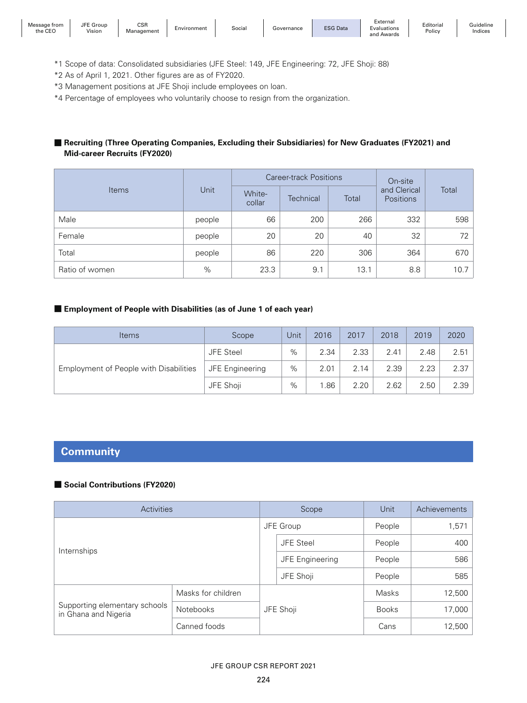JFE Group

Lenoup Contract Control Control Controller Social | Governance | ESG Data

Editorial Policy

- \*1 Scope of data: Consolidated subsidiaries (JFE Steel: 149, JFE Engineering: 72, JFE Shoji: 88)
- \*2 As of April 1, 2021. Other figures are as of FY2020.
- \*3 Management positions at JFE Shoji include employees on loan.
- \*4 Percentage of employees who voluntarily choose to resign from the organization.

### ■ Recruiting (Three Operating Companies, Excluding their Subsidiaries) for New Graduates (FY2021) and **Mid-career Recruits (FY2020)**

|                |        |                  | <b>Career-track Positions</b> | On-site |                                  |       |  |
|----------------|--------|------------------|-------------------------------|---------|----------------------------------|-------|--|
| <b>Items</b>   | Unit   | White-<br>collar | Technical                     | Total   | and Clerical<br><b>Positions</b> | Total |  |
| Male           | people | 66               | 200                           | 266     | 332                              | 598   |  |
| Female         | people | 20               | 20                            | 40      | 32                               | 72    |  |
| Total          | people | 86               | 220                           | 306     | 364                              | 670   |  |
| Ratio of women | %      | 23.3             | 9.1                           | 13.1    | 8.8                              | 10.7  |  |

## ■ **Employment of People with Disabilities (as of June 1 of each year)**

| <b>Items</b>                           | Scope           | Unit | 2016 | 2017 | 2018 | 2019 | 2020 |
|----------------------------------------|-----------------|------|------|------|------|------|------|
| Employment of People with Disabilities | JFE Steel       | %    | 2.34 | 2.33 | 2.41 | 2.48 | 2.51 |
|                                        | JFE Engineering | $\%$ | 2.01 | 2.14 | 2.39 | 2.23 | 2.37 |
|                                        | JFE Shoji       | $\%$ | .86  | 2.20 | 2.62 | 2.50 | 2.39 |

## **Community**

## ■ **Social Contributions (FY2020)**

| Activities                                            |                    |           | Scope            | Unit         | Achievements |
|-------------------------------------------------------|--------------------|-----------|------------------|--------------|--------------|
|                                                       |                    |           | JFE Group        | People       | 1,571        |
|                                                       |                    |           | <b>JFE Steel</b> | People       | 400          |
| Internships                                           |                    |           | JFE Engineering  | People       | 586          |
|                                                       |                    |           | JFE Shoji        | People       | 585          |
|                                                       | Masks for children |           |                  | Masks        | 12,500       |
| Supporting elementary schools<br>in Ghana and Nigeria | Notebooks          | JFE Shoji |                  | <b>Books</b> | 17,000       |
|                                                       | Canned foods       |           |                  | Cans         | 12,500       |